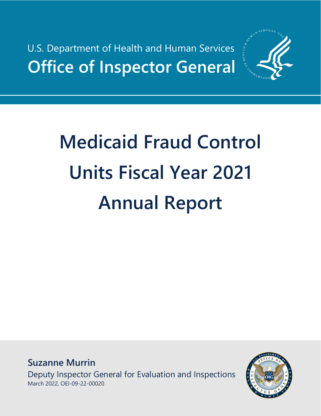U.S. Department of Health and Human Services **Office of Inspector General** 



# **Medicaid Fraud Control Units Fiscal Year 2021 Annual Report**

**Suzanne Murrin** Deputy Inspector General for Evaluation and Inspections March 2022, OEI-09-22-00020

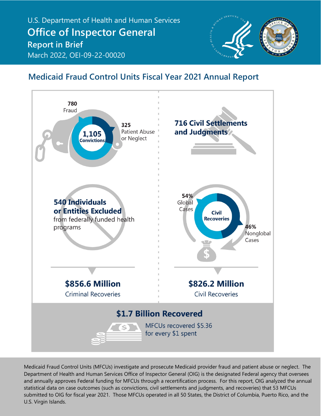U.S. Department of Health and Human Services **Office of Inspector General Report in Brief** March 2022, OEI-09-22-00020



## **Medicaid Fraud Control Units Fiscal Year 2021 Annual Report**



Medicaid Fraud Control Units (MFCUs) investigate and prosecute Medicaid provider fraud and patient abuse or neglect. The Department of Health and Human Services Office of Inspector General (OIG) is the designated Federal agency that oversees and annually approves Federal funding for MFCUs through a recertification process. For this report, OIG analyzed the annual statistical data on case outcomes (such as convictions, civil settlements and judgments, and recoveries) that 53 MFCUs submitted to OIG for fiscal year 2021. Those MFCUs operated in all 50 States, the District of Columbia, Puerto Rico, and the U.S. Virgin Islands.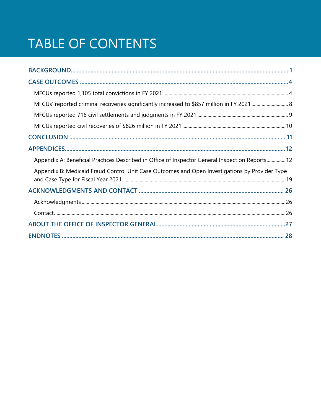## TABLE OF CONTENTS

| MFCUs' reported criminal recoveries significantly increased to \$857 million in FY 2021  8     |  |
|------------------------------------------------------------------------------------------------|--|
|                                                                                                |  |
|                                                                                                |  |
|                                                                                                |  |
|                                                                                                |  |
| Appendix A: Beneficial Practices Described in Office of Inspector General Inspection Reports12 |  |
| Appendix B: Medicaid Fraud Control Unit Case Outcomes and Open Investigations by Provider Type |  |
|                                                                                                |  |
|                                                                                                |  |
|                                                                                                |  |
|                                                                                                |  |
|                                                                                                |  |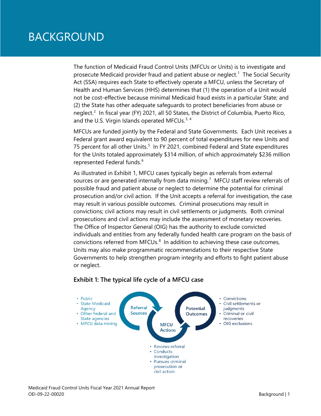## <span id="page-3-0"></span>BACKGROUND

The function of Medicaid Fraud Control Units (MFCUs or Units) is to investigate and prosecute Medicaid provider fraud and patient abuse or neglect.<sup>[1](#page-31-0)</sup> The Social Security Act (SSA) requires each State to effectively operate a MFCU, unless the Secretary of Health and Human Services (HHS) determines that (1) the operation of a Unit would not be cost-effective because minimal Medicaid fraud exists in a particular State; and (2) the State has other adequate safeguards to protect beneficiaries from abuse or neglect.<sup>[2](#page-31-1)</sup> In fiscal year (FY) 2021, all 50 States, the District of Columbia, Puerto Rico, and the U.S. Virgin Islands operated MFCUs.<sup>[3,](#page-31-2) [4](#page-31-3)</sup>

MFCUs are funded jointly by the Federal and State Governments. Each Unit receives a Federal grant award equivalent to 90 percent of total expenditures for new Units and 7[5](#page-31-4) percent for all other Units.<sup>5</sup> In FY 2021, combined Federal and State expenditures for the Units totaled approximately \$314 million, of which approximately \$236 million represented Federal funds.<sup>[6](#page-31-5)</sup>

As illustrated in Exhibit 1, MFCU cases typically begin as referrals from external sources or are generated internally from data mining.<sup>[7](#page-31-6)</sup> MFCU staff review referrals of possible fraud and patient abuse or neglect to determine the potential for criminal prosecution and/or civil action. If the Unit accepts a referral for investigation, the case may result in various possible outcomes. Criminal prosecutions may result in convictions; civil actions may result in civil settlements or judgments. Both criminal prosecutions and civil actions may include the assessment of monetary recoveries. The Office of Inspector General (OIG) has the authority to exclude convicted individuals and entities from any federally funded health care program on the basis of convictions referred from MFCUs. $<sup>8</sup>$  $<sup>8</sup>$  $<sup>8</sup>$  In addition to achieving these case outcomes,</sup> Units may also make programmatic recommendations to their respective State Governments to help strengthen program integrity and efforts to fight patient abuse or neglect.



#### **Exhibit 1: The typical life cycle of a MFCU case**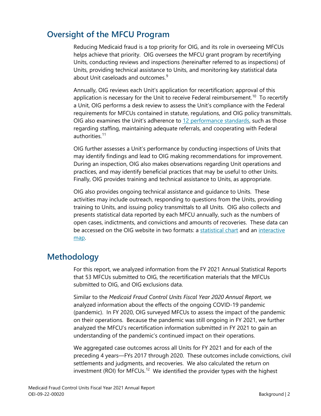## **Oversight of the MFCU Program**

Reducing Medicaid fraud is a top priority for OIG, and its role in overseeing MFCUs helps achieve that priority. OIG oversees the MFCU grant program by recertifying Units, conducting reviews and inspections (hereinafter referred to as inspections) of Units, providing technical assistance to Units, and monitoring key statistical data about Unit caseloads and outcomes. [9](#page-31-8)

Annually, OIG reviews each Unit's application for recertification; approval of this application is necessary for the Unit to receive Federal reimbursement.<sup>10</sup> To recertify a Unit, OIG performs a desk review to assess the Unit's compliance with the Federal requirements for MFCUs contained in statute, regulations, and OIG policy transmittals. OIG also examines the Unit's adherence to [12 performance standards,](https://oig.hhs.gov/authorities/docs/2012/performancestandardsfinal060112.pdf) such as those regarding staffing, maintaining adequate referrals, and cooperating with Federal authorities.<sup>[11](#page-31-10)</sup>

OIG further assesses a Unit's performance by conducting inspections of Units that may identify findings and lead to OIG making recommendations for improvement. During an inspection, OIG also makes observations regarding Unit operations and practices, and may identify beneficial practices that may be useful to other Units. Finally, OIG provides training and technical assistance to Units, as appropriate.

OIG also provides ongoing technical assistance and guidance to Units. These activities may include outreach, responding to questions from the Units, providing training to Units, and issuing policy transmittals to all Units. OIG also collects and presents statistical data reported by each MFCU annually, such as the numbers of open cases, indictments, and convictions and amounts of recoveries. These data can be accessed on the OIG website in two formats: a [statistical chart](https://oig.hhs.gov/fraud/medicaid-fraud-control-units-mfcu/expenditures_statistics/fy2021-statistical-chart.pdf) and an interactive [map.](https://oig.hhs.gov/fraud/medicaid-fraud-control-units-mfcu/maps/interactive-map2021.asp)

## **Methodology**

For this report, we analyzed information from the FY 2021 Annual Statistical Reports that 53 MFCUs submitted to OIG, the recertification materials that the MFCUs submitted to OIG, and OIG exclusions data.

Similar to the *Medicaid Fraud Control Units Fiscal Year 2020 Annual Report*, we analyzed information about the effects of the ongoing COVID-19 pandemic (pandemic). In FY 2020, OIG surveyed MFCUs to assess the impact of the pandemic on their operations. Because the pandemic was still ongoing in FY 2021, we further analyzed the MFCU's recertification information submitted in FY 2021 to gain an understanding of the pandemic's continued impact on their operations.

We aggregated case outcomes across all Units for FY 2021 and for each of the preceding 4 years—FYs 2017 through 2020. These outcomes include convictions, civil settlements and judgments, and recoveries. We also calculated the return on investment (ROI) for MFCUs.<sup>12</sup> We identified the provider types with the highest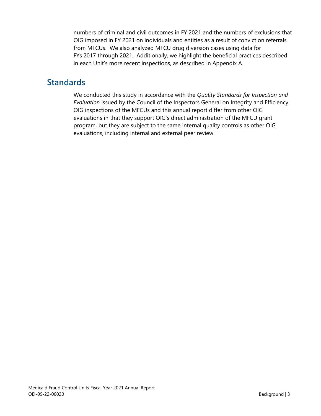numbers of criminal and civil outcomes in FY 2021 and the numbers of exclusions that OIG imposed in FY 2021 on individuals and entities as a result of conviction referrals from MFCUs. We also analyzed MFCU drug diversion cases using data for FYs 2017 through 2021. Additionally, we highlight the beneficial practices described in each Unit's more recent inspections, as described in Appendix A.

## **Standards**

We conducted this study in accordance with the *Quality Standards for Inspection and Evaluation* issued by the Council of the Inspectors General on Integrity and Efficiency. OIG inspections of the MFCUs and this annual report differ from other OIG evaluations in that they support OIG's direct administration of the MFCU grant program, but they are subject to the same internal quality controls as other OIG evaluations, including internal and external peer review.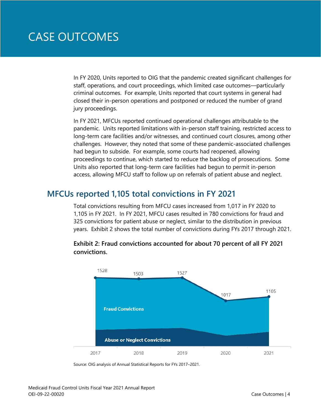## <span id="page-6-0"></span>CASE OUTCOMES

In FY 2020, Units reported to OIG that the pandemic created significant challenges for staff, operations, and court proceedings, which limited case outcomes—particularly criminal outcomes. For example, Units reported that court systems in general had closed their in-person operations and postponed or reduced the number of grand jury proceedings.

In FY 2021, MFCUs reported continued operational challenges attributable to the pandemic. Units reported limitations with in-person staff training, restricted access to long-term care facilities and/or witnesses, and continued court closures, among other challenges. However, they noted that some of these pandemic-associated challenges had begun to subside. For example, some courts had reopened, allowing proceedings to continue, which started to reduce the backlog of prosecutions. Some Units also reported that long-term care facilities had begun to permit in-person access, allowing MFCU staff to follow up on referrals of patient abuse and neglect.

## <span id="page-6-1"></span>**MFCUs reported 1,105 total convictions in FY 2021**

Total convictions resulting from MFCU cases increased from 1,017 in FY 2020 to 1,105 in FY 2021. In FY 2021, MFCU cases resulted in 780 convictions for fraud and 325 convictions for patient abuse or neglect, similar to the distribution in previous years. Exhibit 2 shows the total number of convictions during FYs 2017 through 2021.



#### **Exhibit 2: Fraud convictions accounted for about 70 percent of all FY 2021 convictions.**

Source: OIG analysis of Annual Statistical Reports for FYs 2017–2021.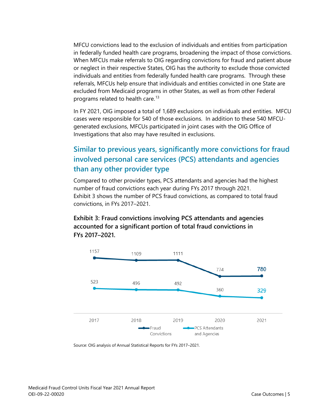MFCU convictions lead to the exclusion of individuals and entities from participation in federally funded health care programs, broadening the impact of those convictions. When MFCUs make referrals to OIG regarding convictions for fraud and patient abuse or neglect in their respective States, OIG has the authority to exclude those convicted individuals and entities from federally funded health care programs. Through these referrals, MFCUs help ensure that individuals and entities convicted in one State are excluded from Medicaid programs in other States, as well as from other Federal programs related to health care.<sup>[13](#page-31-12)</sup>

In FY 2021, OIG imposed a total of 1,689 exclusions on individuals and entities. MFCU cases were responsible for 540 of those exclusions. In addition to these 540 MFCUgenerated exclusions, MFCUs participated in joint cases with the OIG Office of Investigations that also may have resulted in exclusions.

### **Similar to previous years, significantly more convictions for fraud involved personal care services (PCS) attendants and agencies than any other provider type**

Compared to other provider types, PCS attendants and agencies had the highest number of fraud convictions each year during FYs 2017 through 2021. Exhibit 3 shows the number of PCS fraud convictions, as compared to total fraud convictions, in FYs 2017–2021.

**Exhibit 3: Fraud convictions involving PCS attendants and agencies accounted for a significant portion of total fraud convictions in FYs 2017–2021.** 



Source: OIG analysis of Annual Statistical Reports for FYs 2017–2021.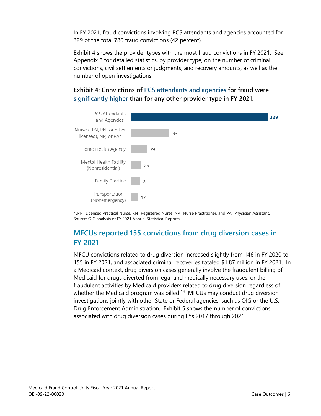In FY 2021, fraud convictions involving PCS attendants and agencies accounted for 329 of the total 780 fraud convictions (42 percent).

Exhibit 4 shows the provider types with the most fraud convictions in FY 2021. See Appendix B for detailed statistics, by provider type, on the number of criminal convictions, civil settlements or judgments, and recovery amounts, as well as the number of open investigations.

#### **Exhibit 4: Convictions of PCS attendants and agencies for fraud were significantly higher than for any other provider type in FY 2021.**



\*LPN=Licensed Practical Nurse, RN=Registered Nurse, NP=Nurse Practitioner, and PA=Physician Assistant. Source: OIG analysis of FY 2021 Annual Statistical Reports.

### **MFCUs reported 155 convictions from drug diversion cases in FY 2021**

MFCU convictions related to drug diversion increased slightly from 146 in FY 2020 to 155 in FY 2021, and associated criminal recoveries totaled \$1.87 million in FY 2021. In a Medicaid context, drug diversion cases generally involve the fraudulent billing of Medicaid for drugs diverted from legal and medically necessary uses, or the fraudulent activities by Medicaid providers related to drug diversion regardless of whether the Medicaid program was billed.<sup>14</sup> MFCUs may conduct drug diversion investigations jointly with other State or Federal agencies, such as OIG or the U.S. Drug Enforcement Administration. Exhibit 5 shows the number of convictions associated with drug diversion cases during FYs 2017 through 2021.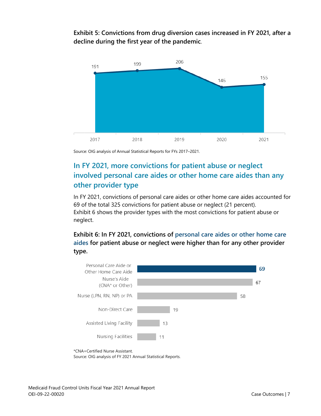**Exhibit 5: Convictions from drug diversion cases increased in FY 2021, after a decline during the first year of the pandemic**.



Source: OIG analysis of Annual Statistical Reports for FYs 2017–2021.

## **In FY 2021, more convictions for patient abuse or neglect involved personal care aides or other home care aides than any other provider type**

In FY 2021, convictions of personal care aides or other home care aides accounted for 69 of the total 325 convictions for patient abuse or neglect (21 percent). Exhibit 6 shows the provider types with the most convictions for patient abuse or neglect.

**Exhibit 6: In FY 2021, convictions of personal care aides or other home care aides for patient abuse or neglect were higher than for any other provider type.** 



\*CNA=Certified Nurse Assistant.

Source: OIG analysis of FY 2021 Annual Statistical Reports.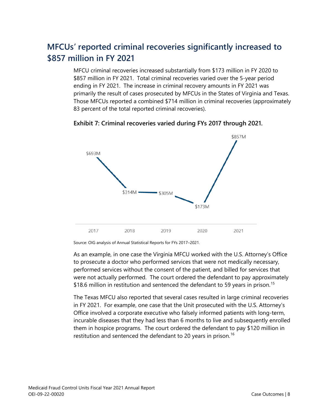## <span id="page-10-0"></span>**MFCUs' reported criminal recoveries significantly increased to \$857 million in FY 2021**

MFCU criminal recoveries increased substantially from \$173 million in FY 2020 to \$857 million in FY 2021. Total criminal recoveries varied over the 5-year period ending in FY 2021. The increase in criminal recovery amounts in FY 2021 was primarily the result of cases prosecuted by MFCUs in the States of Virginia and Texas. Those MFCUs reported a combined \$714 million in criminal recoveries (approximately 83 percent of the total reported criminal recoveries).



**Exhibit 7: Criminal recoveries varied during FYs 2017 through 2021.**

Source: OIG analysis of Annual Statistical Reports for FYs 2017–2021.

As an example, in one case the Virginia MFCU worked with the U.S. Attorney's Office to prosecute a doctor who performed services that were not medically necessary, performed services without the consent of the patient, and billed for services that were not actually performed. The court ordered the defendant to pay approximately \$18.6 million in restitution and sentenced the defendant to 59 years in prison.<sup>[15](#page-31-14)</sup>

The Texas MFCU also reported that several cases resulted in large criminal recoveries in FY 2021. For example, one case that the Unit prosecuted with the U.S. Attorney's Office involved a corporate executive who falsely informed patients with long-term, incurable diseases that they had less than 6 months to live and subsequently enrolled them in hospice programs. The court ordered the defendant to pay \$120 million in restitution and sentenced the defendant to 20 years in prison.<sup>[16](#page-31-15)</sup>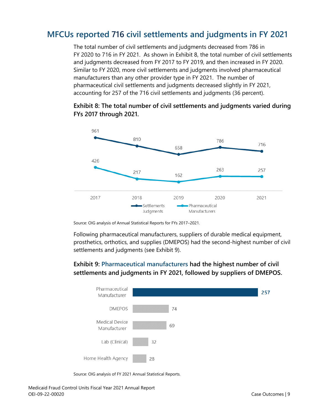## <span id="page-11-0"></span>**MFCUs reported 716 civil settlements and judgments in FY 2021**

The total number of civil settlements and judgments decreased from 786 in FY 2020 to 716 in FY 2021. As shown in Exhibit 8, the total number of civil settlements and judgments decreased from FY 2017 to FY 2019, and then increased in FY 2020. Similar to FY 2020, more civil settlements and judgments involved pharmaceutical manufacturers than any other provider type in FY 2021. The number of pharmaceutical civil settlements and judgments decreased slightly in FY 2021, accounting for 257 of the 716 civil settlements and judgments (36 percent).

#### **Exhibit 8: The total number of civil settlements and judgments varied during FYs 2017 through 2021.**



Source: OIG analysis of Annual Statistical Reports for FYs 2017–2021.

Following pharmaceutical manufacturers, suppliers of durable medical equipment, prosthetics, orthotics, and supplies (DMEPOS) had the second-highest number of civil settlements and judgments (see Exhibit 9).

#### **Exhibit 9: Pharmaceutical manufacturers had the highest number of civil settlements and judgments in FY 2021, followed by suppliers of DMEPOS.**



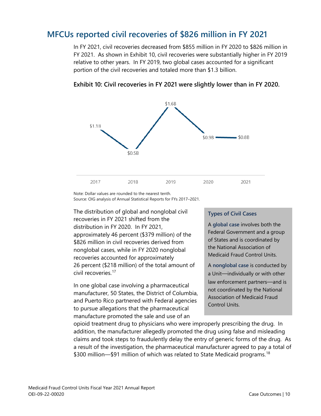## <span id="page-12-0"></span>**MFCUs reported civil recoveries of \$826 million in FY 2021**

In FY 2021, civil recoveries decreased from \$855 million in FY 2020 to \$826 million in FY 2021. As shown in Exhibit 10, civil recoveries were substantially higher in FY 2019 relative to other years. In FY 2019, two global cases accounted for a significant portion of the civil recoveries and totaled more than \$1.3 billion.



#### **Exhibit 10: Civil recoveries in FY 2021 were slightly lower than in FY 2020.**

Note: Dollar values are rounded to the nearest tenth.

Source: OIG analysis of Annual Statistical Reports for FYs 2017–2021.

The distribution of global and nonglobal civil recoveries in FY 2021 shifted from the distribution in FY 2020. In FY 2021, approximately 46 percent (\$379 million) of the \$826 million in civil recoveries derived from nonglobal cases, while in FY 2020 nonglobal recoveries accounted for approximately 26 percent (\$218 million) of the total amount of civil recoveries. [17](#page-31-16)

In one global case involving a pharmaceutical manufacturer, 50 States, the District of Columbia, and Puerto Rico partnered with Federal agencies to pursue allegations that the pharmaceutical manufacture promoted the sale and use of an

#### **Types of Civil Cases**

A **global case** involves both the Federal Government and a group of States and is coordinated by the National Association of Medicaid Fraud Control Units.

A **nonglobal case** is conducted by a Unit—individually or with other law enforcement partners—and is not coordinated by the National Association of Medicaid Fraud Control Units.

opioid treatment drug to physicians who were improperly prescribing the drug. In addition, the manufacturer allegedly promoted the drug using false and misleading claims and took steps to fraudulently delay the entry of generic forms of the drug. As a result of the investigation, the pharmaceutical manufacturer agreed to pay a total of \$300 million—\$91 million of which was related to State Medicaid programs.<sup>[18](#page-31-17)</sup>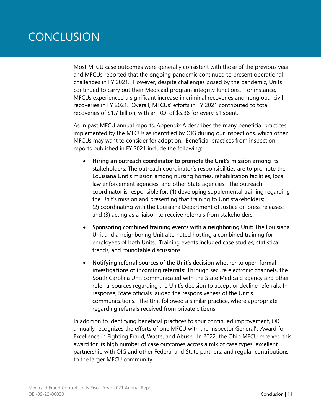## <span id="page-13-0"></span>**CONCLUSION**

Most MFCU case outcomes were generally consistent with those of the previous year and MFCUs reported that the ongoing pandemic continued to present operational challenges in FY 2021. However, despite challenges posed by the pandemic, Units continued to carry out their Medicaid program integrity functions. For instance, MFCUs experienced a significant increase in criminal recoveries and nonglobal civil recoveries in FY 2021. Overall, MFCUs' efforts in FY 2021 contributed to total recoveries of \$1.7 billion, with an ROI of \$5.36 for every \$1 spent.

As in past MFCU annual reports, Appendix A describes the many beneficial practices implemented by the MFCUs as identified by OIG during our inspections, which other MFCUs may want to consider for adoption. Beneficial practices from inspection reports published in FY 2021 include the following:

- **Hiring an outreach coordinator to promote the Unit's mission among its stakeholders:** The outreach coordinator's responsibilities are to promote the Louisiana Unit's mission among nursing homes, rehabilitation facilities, local law enforcement agencies, and other State agencies. The outreach coordinator is responsible for: (1) developing supplemental training regarding the Unit's mission and presenting that training to Unit stakeholders; (2) coordinating with the Louisiana Department of Justice on press releases; and (3) acting as a liaison to receive referrals from stakeholders.
- **Sponsoring combined training events with a neighboring Unit:** The Louisiana Unit and a neighboring Unit alternated hosting a combined training for employees of both Units. Training events included case studies, statistical trends, and roundtable discussions.
- **Notifying referral sources of the Unit's decision whether to open formal investigations of incoming referrals:** Through secure electronic channels, the South Carolina Unit communicated with the State Medicaid agency and other referral sources regarding the Unit's decision to accept or decline referrals. In response, State officials lauded the responsiveness of the Unit's communications. The Unit followed a similar practice, where appropriate, regarding referrals received from private citizens.

In addition to identifying beneficial practices to spur continued improvement, OIG annually recognizes the efforts of one MFCU with the Inspector General's Award for Excellence in Fighting Fraud, Waste, and Abuse. In 2022, the Ohio MFCU received this award for its high number of case outcomes across a mix of case types, excellent partnership with OIG and other Federal and State partners, and regular contributions to the larger MFCU community.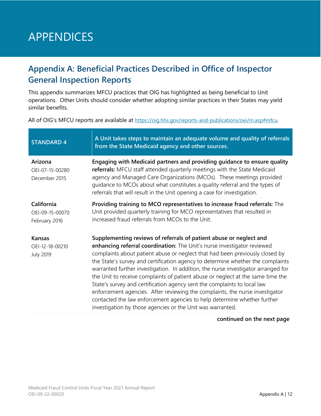<span id="page-14-1"></span><span id="page-14-0"></span>This appendix summarizes MFCU practices that OIG has highlighted as being beneficial to Unit operations. Other Units should consider whether adopting similar practices in their States may yield similar benefits.

All of OIG's MFCU reports are available at https://oig.hhs.gov/reports-and-publications/oei/m.asp#mfcu.

| <b>STANDARD 4</b>                                    | A Unit takes steps to maintain an adequate volume and quality of referrals<br>from the State Medicaid agency and other sources.                                                                                                                                                                                                                                                                                                                                                                                                                                                                                                                                                                                                                                                                |
|------------------------------------------------------|------------------------------------------------------------------------------------------------------------------------------------------------------------------------------------------------------------------------------------------------------------------------------------------------------------------------------------------------------------------------------------------------------------------------------------------------------------------------------------------------------------------------------------------------------------------------------------------------------------------------------------------------------------------------------------------------------------------------------------------------------------------------------------------------|
| Arizona<br>OEI-07-15-00280<br>December 2015          | Engaging with Medicaid partners and providing guidance to ensure quality<br>referrals: MFCU staff attended quarterly meetings with the State Medicaid<br>agency and Managed Care Organizations (MCOs). These meetings provided<br>guidance to MCOs about what constitutes a quality referral and the types of<br>referrals that will result in the Unit opening a case for investigation.                                                                                                                                                                                                                                                                                                                                                                                                      |
| California<br>OEI-09-15-00070<br>February 2016       | Providing training to MCO representatives to increase fraud referrals: The<br>Unit provided quarterly training for MCO representatives that resulted in<br>increased fraud referrals from MCOs to the Unit.                                                                                                                                                                                                                                                                                                                                                                                                                                                                                                                                                                                    |
| <b>Kansas</b><br>OEI-12-18-00210<br><b>July 2019</b> | Supplementing reviews of referrals of patient abuse or neglect and<br>enhancing referral coordination: The Unit's nurse investigator reviewed<br>complaints about patient abuse or neglect that had been previously closed by<br>the State's survey and certification agency to determine whether the complaints<br>warranted further investigation. In addition, the nurse investigator arranged for<br>the Unit to receive complaints of patient abuse or neglect at the same time the<br>State's survey and certification agency sent the complaints to local law<br>enforcement agencies. After reviewing the complaints, the nurse investigator<br>contacted the law enforcement agencies to help determine whether further<br>investigation by those agencies or the Unit was warranted. |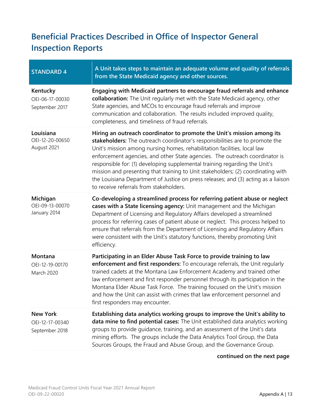| <b>STANDARD 4</b>                                    | A Unit takes steps to maintain an adequate volume and quality of referrals<br>from the State Medicaid agency and other sources.                                                                                                                                                                                                                                                                                                                                                                                                                                                                                      |
|------------------------------------------------------|----------------------------------------------------------------------------------------------------------------------------------------------------------------------------------------------------------------------------------------------------------------------------------------------------------------------------------------------------------------------------------------------------------------------------------------------------------------------------------------------------------------------------------------------------------------------------------------------------------------------|
| Kentucky<br>OEI-06-17-00030<br>September 2017        | Engaging with Medicaid partners to encourage fraud referrals and enhance<br>collaboration: The Unit regularly met with the State Medicaid agency, other<br>State agencies, and MCOs to encourage fraud referrals and improve<br>communication and collaboration. The results included improved quality,<br>completeness, and timeliness of fraud referrals.                                                                                                                                                                                                                                                          |
| Louisiana<br>OEI-12-20-00650<br>August 2021          | Hiring an outreach coordinator to promote the Unit's mission among its<br>stakeholders: The outreach coordinator's responsibilities are to promote the<br>Unit's mission among nursing homes, rehabilitation facilities, local law<br>enforcement agencies, and other State agencies. The outreach coordinator is<br>responsible for: (1) developing supplemental training regarding the Unit's<br>mission and presenting that training to Unit stakeholders; (2) coordinating with<br>the Louisiana Department of Justice on press releases; and (3) acting as a liaison<br>to receive referrals from stakeholders. |
| Michigan<br>OEI-09-13-00070<br>January 2014          | Co-developing a streamlined process for referring patient abuse or neglect<br>cases with a State licensing agency: Unit management and the Michigan<br>Department of Licensing and Regulatory Affairs developed a streamlined<br>process for referring cases of patient abuse or neglect. This process helped to<br>ensure that referrals from the Department of Licensing and Regulatory Affairs<br>were consistent with the Unit's statutory functions, thereby promoting Unit<br>efficiency.                                                                                                                      |
| Montana<br>OEI-12-19-00170<br>March 2020             | Participating in an Elder Abuse Task Force to provide training to law<br>enforcement and first responders: To encourage referrals, the Unit regularly<br>trained cadets at the Montana Law Enforcement Academy and trained other<br>law enforcement and first responder personnel through its participation in the<br>Montana Elder Abuse Task Force. The training focused on the Unit's mission<br>and how the Unit can assist with crimes that law enforcement personnel and<br>first responders may encounter.                                                                                                    |
| <b>New York</b><br>OEI-12-17-00340<br>September 2018 | Establishing data analytics working groups to improve the Unit's ability to<br>data mine to find potential cases: The Unit established data analytics working<br>groups to provide guidance, training, and an assessment of the Unit's data<br>mining efforts. The groups include the Data Analytics Tool Group, the Data<br>Sources Groups, the Fraud and Abuse Group, and the Governance Group.                                                                                                                                                                                                                    |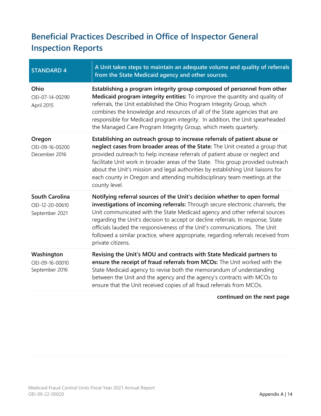| <b>STANDARD 4</b>                                          | A Unit takes steps to maintain an adequate volume and quality of referrals<br>from the State Medicaid agency and other sources.                                                                                                                                                                                                                                                                                                                                                                                      |
|------------------------------------------------------------|----------------------------------------------------------------------------------------------------------------------------------------------------------------------------------------------------------------------------------------------------------------------------------------------------------------------------------------------------------------------------------------------------------------------------------------------------------------------------------------------------------------------|
| Ohio<br>OEI-07-14-00290<br>April 2015                      | Establishing a program integrity group composed of personnel from other<br>Medicaid program integrity entities: To improve the quantity and quality of<br>referrals, the Unit established the Ohio Program Integrity Group, which<br>combines the knowledge and resources of all of the State agencies that are<br>responsible for Medicaid program integrity. In addition, the Unit spearheaded<br>the Managed Care Program Integrity Group, which meets quarterly.                                                 |
| Oregon<br>OEI-09-16-00200<br>December 2016                 | Establishing an outreach group to increase referrals of patient abuse or<br>neglect cases from broader areas of the State: The Unit created a group that<br>provided outreach to help increase referrals of patient abuse or neglect and<br>facilitate Unit work in broader areas of the State. This group provided outreach<br>about the Unit's mission and legal authorities by establishing Unit liaisons for<br>each county in Oregon and attending multidisciplinary team meetings at the<br>county level.      |
| <b>South Carolina</b><br>OEI-12-20-00610<br>September 2021 | Notifying referral sources of the Unit's decision whether to open formal<br>investigations of incoming referrals: Through secure electronic channels, the<br>Unit communicated with the State Medicaid agency and other referral sources<br>regarding the Unit's decision to accept or decline referrals. In response, State<br>officials lauded the responsiveness of the Unit's communications. The Unit<br>followed a similar practice, where appropriate, regarding referrals received from<br>private citizens. |
| Washington<br>OEI-09-16-00010<br>September 2016            | Revising the Unit's MOU and contracts with State Medicaid partners to<br>ensure the receipt of fraud referrals from MCOs: The Unit worked with the<br>State Medicaid agency to revise both the memorandum of understanding<br>between the Unit and the agency and the agency's contracts with MCOs to<br>ensure that the Unit received copies of all fraud referrals from MCOs.                                                                                                                                      |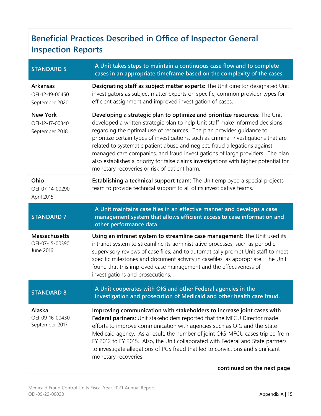| <b>STANDARD 5</b>                                    | A Unit takes steps to maintain a continuous case flow and to complete<br>cases in an appropriate timeframe based on the complexity of the cases.                                                                                                                                                                                                                                                                                                                                                                                                                                                                                     |
|------------------------------------------------------|--------------------------------------------------------------------------------------------------------------------------------------------------------------------------------------------------------------------------------------------------------------------------------------------------------------------------------------------------------------------------------------------------------------------------------------------------------------------------------------------------------------------------------------------------------------------------------------------------------------------------------------|
| <b>Arkansas</b><br>OEI-12-19-00450<br>September 2020 | Designating staff as subject matter experts: The Unit director designated Unit<br>investigators as subject matter experts on specific, common provider types for<br>efficient assignment and improved investigation of cases.                                                                                                                                                                                                                                                                                                                                                                                                        |
| <b>New York</b><br>OEI-12-17-00340<br>September 2018 | Developing a strategic plan to optimize and prioritize resources: The Unit<br>developed a written strategic plan to help Unit staff make informed decisions<br>regarding the optimal use of resources. The plan provides guidance to<br>prioritize certain types of investigations, such as criminal investigations that are<br>related to systematic patient abuse and neglect, fraud allegations against<br>managed care companies, and fraud investigations of large providers. The plan<br>also establishes a priority for false claims investigations with higher potential for<br>monetary recoveries or risk of patient harm. |
| Ohio<br>OEI-07-14-00290<br>April 2015                | Establishing a technical support team: The Unit employed a special projects<br>team to provide technical support to all of its investigative teams.                                                                                                                                                                                                                                                                                                                                                                                                                                                                                  |
| <b>STANDARD 7</b>                                    | A Unit maintains case files in an effective manner and develops a case<br>management system that allows efficient access to case information and<br>other performance data.                                                                                                                                                                                                                                                                                                                                                                                                                                                          |
| <b>Massachusetts</b><br>OEI-07-15-00390<br>June 2016 | Using an intranet system to streamline case management: The Unit used its<br>intranet system to streamline its administrative processes, such as periodic<br>supervisory reviews of case files, and to automatically prompt Unit staff to meet<br>specific milestones and document activity in casefiles, as appropriate. The Unit<br>found that this improved case management and the effectiveness of<br>investigations and prosecutions.                                                                                                                                                                                          |
| <b>STANDARD 8</b>                                    | A Unit cooperates with OIG and other Federal agencies in the<br>investigation and prosecution of Medicaid and other health care fraud.                                                                                                                                                                                                                                                                                                                                                                                                                                                                                               |
| Alaska<br>OEI-09-16-00430<br>September 2017          | Improving communication with stakeholders to increase joint cases with<br>Federal partners: Unit stakeholders reported that the MFCU Director made<br>efforts to improve communication with agencies such as OIG and the State<br>Medicaid agency. As a result, the number of joint OIG-MFCU cases tripled from<br>FY 2012 to FY 2015. Also, the Unit collaborated with Federal and State partners<br>to investigate allegations of PCS fraud that led to convictions and significant<br>monetary recoveries.                                                                                                                        |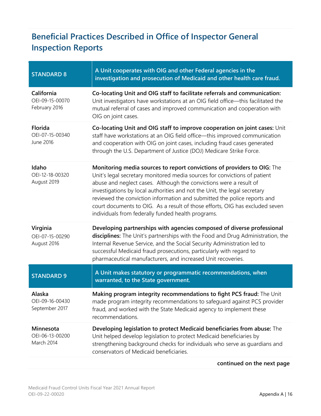| <b>STANDARD 8</b>                              | A Unit cooperates with OIG and other Federal agencies in the<br>investigation and prosecution of Medicaid and other health care fraud.                                                                                                                                                                                                                                                                                                                                                                                    |
|------------------------------------------------|---------------------------------------------------------------------------------------------------------------------------------------------------------------------------------------------------------------------------------------------------------------------------------------------------------------------------------------------------------------------------------------------------------------------------------------------------------------------------------------------------------------------------|
| California<br>OEI-09-15-00070<br>February 2016 | Co-locating Unit and OIG staff to facilitate referrals and communication:<br>Unit investigators have workstations at an OIG field office-this facilitated the<br>mutual referral of cases and improved communication and cooperation with<br>OIG on joint cases.                                                                                                                                                                                                                                                          |
| Florida<br>OEI-07-15-00340<br>June 2016        | Co-locating Unit and OIG staff to improve cooperation on joint cases: Unit<br>staff have workstations at an OIG field office-this improved communication<br>and cooperation with OIG on joint cases, including fraud cases generated<br>through the U.S. Department of Justice (DOJ) Medicare Strike Force.                                                                                                                                                                                                               |
| Idaho<br>OEI-12-18-00320<br>August 2019        | Monitoring media sources to report convictions of providers to OIG: The<br>Unit's legal secretary monitored media sources for convictions of patient<br>abuse and neglect cases. Although the convictions were a result of<br>investigations by local authorities and not the Unit, the legal secretary<br>reviewed the conviction information and submitted the police reports and<br>court documents to OIG. As a result of those efforts, OIG has excluded seven<br>individuals from federally funded health programs. |
| Virginia<br>OEI-07-15-00290<br>August 2016     | Developing partnerships with agencies composed of diverse professional<br>disciplines: The Unit's partnerships with the Food and Drug Administration, the<br>Internal Revenue Service, and the Social Security Administration led to<br>successful Medicaid fraud prosecutions, particularly with regard to<br>pharmaceutical manufacturers, and increased Unit recoveries.                                                                                                                                               |
| <b>STANDARD 9</b>                              | A Unit makes statutory or programmatic recommendations, when<br>warranted, to the State government.                                                                                                                                                                                                                                                                                                                                                                                                                       |
| Alaska<br>OEI-09-16-00430<br>September 2017    | Making program integrity recommendations to fight PCS fraud: The Unit<br>made program integrity recommendations to safeguard against PCS provider<br>fraud, and worked with the State Medicaid agency to implement these<br>recommendations.                                                                                                                                                                                                                                                                              |
| Minnesota<br>OEI-06-13-00200<br>March 2014     | Developing legislation to protect Medicaid beneficiaries from abuse: The<br>Unit helped develop legislation to protect Medicaid beneficiaries by<br>strengthening background checks for individuals who serve as guardians and<br>conservators of Medicaid beneficiaries.                                                                                                                                                                                                                                                 |
|                                                |                                                                                                                                                                                                                                                                                                                                                                                                                                                                                                                           |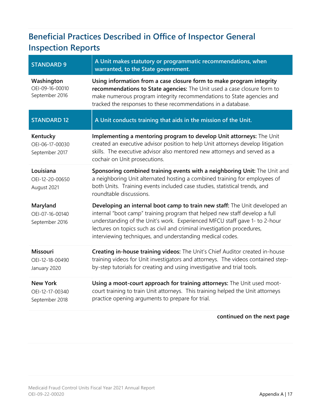| <b>STANDARD 9</b>                                    | A Unit makes statutory or programmatic recommendations, when<br>warranted, to the State government.                                                                                                                                                                                                                                                                            |
|------------------------------------------------------|--------------------------------------------------------------------------------------------------------------------------------------------------------------------------------------------------------------------------------------------------------------------------------------------------------------------------------------------------------------------------------|
| Washington<br>OEI-09-16-00010<br>September 2016      | Using information from a case closure form to make program integrity<br>recommendations to State agencies: The Unit used a case closure form to<br>make numerous program integrity recommendations to State agencies and<br>tracked the responses to these recommendations in a database.                                                                                      |
| <b>STANDARD 12</b>                                   | A Unit conducts training that aids in the mission of the Unit.                                                                                                                                                                                                                                                                                                                 |
| Kentucky<br>OEI-06-17-00030<br>September 2017        | Implementing a mentoring program to develop Unit attorneys: The Unit<br>created an executive advisor position to help Unit attorneys develop litigation<br>skills. The executive advisor also mentored new attorneys and served as a<br>cochair on Unit prosecutions.                                                                                                          |
| Louisiana<br>OEI-12-20-00650<br>August 2021          | Sponsoring combined training events with a neighboring Unit: The Unit and<br>a neighboring Unit alternated hosting a combined training for employees of<br>both Units. Training events included case studies, statistical trends, and<br>roundtable discussions.                                                                                                               |
| Maryland<br>OEI-07-16-00140<br>September 2016        | Developing an internal boot camp to train new staff: The Unit developed an<br>internal "boot camp" training program that helped new staff develop a full<br>understanding of the Unit's work. Experienced MFCU staff gave 1- to 2-hour<br>lectures on topics such as civil and criminal investigation procedures,<br>interviewing techniques, and understanding medical codes. |
| Missouri<br>OEI-12-18-00490<br>January 2020          | Creating in-house training videos: The Unit's Chief Auditor created in-house<br>training videos for Unit investigators and attorneys. The videos contained step-<br>by-step tutorials for creating and using investigative and trial tools.                                                                                                                                    |
| <b>New York</b><br>OEI-12-17-00340<br>September 2018 | Using a moot-court approach for training attorneys: The Unit used moot-<br>court training to train Unit attorneys. This training helped the Unit attorneys<br>practice opening arguments to prepare for trial.                                                                                                                                                                 |
|                                                      | continued on the next page                                                                                                                                                                                                                                                                                                                                                     |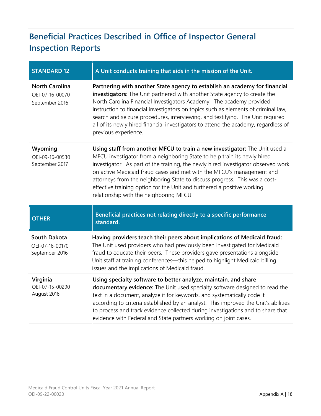| A Unit conducts training that aids in the mission of the Unit.                                                                                                                                                                                                                                                                                                                                                                                                                                                           |
|--------------------------------------------------------------------------------------------------------------------------------------------------------------------------------------------------------------------------------------------------------------------------------------------------------------------------------------------------------------------------------------------------------------------------------------------------------------------------------------------------------------------------|
| Partnering with another State agency to establish an academy for financial<br>investigators: The Unit partnered with another State agency to create the<br>North Carolina Financial Investigators Academy. The academy provided<br>instruction to financial investigators on topics such as elements of criminal law,<br>search and seizure procedures, interviewing, and testifying. The Unit required<br>all of its newly hired financial investigators to attend the academy, regardless of<br>previous experience.   |
| Using staff from another MFCU to train a new investigator: The Unit used a<br>MFCU investigator from a neighboring State to help train its newly hired<br>investigator. As part of the training, the newly hired investigator observed work<br>on active Medicaid fraud cases and met with the MFCU's management and<br>attorneys from the neighboring State to discuss progress. This was a cost-<br>effective training option for the Unit and furthered a positive working<br>relationship with the neighboring MFCU. |
| Beneficial practices not relating directly to a specific performance<br>standard.                                                                                                                                                                                                                                                                                                                                                                                                                                        |
| Having providers teach their peers about implications of Medicaid fraud:<br>The Unit used providers who had previously been investigated for Medicaid<br>fraud to educate their peers. These providers gave presentations alongside<br>Unit staff at training conferences-this helped to highlight Medicaid billing<br>issues and the implications of Medicaid fraud.                                                                                                                                                    |
| Using specialty software to better analyze, maintain, and share<br>documentary evidence: The Unit used specialty software designed to read the<br>text in a document, analyze it for keywords, and systematically code it<br>according to criteria established by an analyst. This improved the Unit's abilities<br>to process and track evidence collected during investigations and to share that<br>evidence with Federal and State partners working on joint cases.                                                  |
|                                                                                                                                                                                                                                                                                                                                                                                                                                                                                                                          |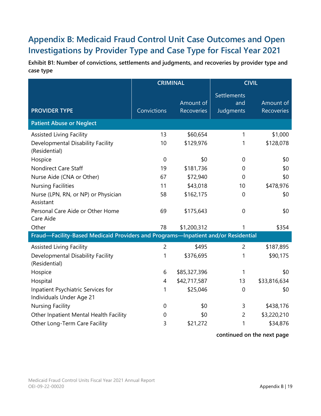## <span id="page-21-0"></span>**Appendix B: Medicaid Fraud Control Unit Case Outcomes and Open Investigations by Provider Type and Case Type for Fiscal Year 2021**

**Exhibit B1: Number of convictions, settlements and judgments, and recoveries by provider type and case type**

|                                                                                   | <b>CRIMINAL</b> |                                | <b>CIVIL</b>                    |                                |
|-----------------------------------------------------------------------------------|-----------------|--------------------------------|---------------------------------|--------------------------------|
| <b>PROVIDER TYPE</b>                                                              | Convictions     | Amount of<br><b>Recoveries</b> | Settlements<br>and<br>Judgments | Amount of<br><b>Recoveries</b> |
| <b>Patient Abuse or Neglect</b>                                                   |                 |                                |                                 |                                |
| <b>Assisted Living Facility</b>                                                   | 13              | \$60,654                       | 1                               | \$1,000                        |
| Developmental Disability Facility<br>(Residential)                                | 10              | \$129,976                      | 1                               | \$128,078                      |
| Hospice                                                                           | $\mathbf 0$     | \$0                            | $\boldsymbol{0}$                | \$0                            |
| <b>Nondirect Care Staff</b>                                                       | 19              | \$181,736                      | 0                               | \$0                            |
| Nurse Aide (CNA or Other)                                                         | 67              | \$72,940                       | 0                               | \$0                            |
| <b>Nursing Facilities</b>                                                         | 11              | \$43,018                       | 10                              | \$478,976                      |
| Nurse (LPN, RN, or NP) or Physician<br>Assistant                                  | 58              | \$162,175                      | 0                               | \$0                            |
| Personal Care Aide or Other Home<br>Care Aide                                     | 69              | \$175,643                      | 0                               | \$0                            |
| Other                                                                             | 78              | \$1,200,312                    | 1                               | \$354                          |
| Fraud-Facility-Based Medicaid Providers and Programs-Inpatient and/or Residential |                 |                                |                                 |                                |
| <b>Assisted Living Facility</b>                                                   | $\overline{2}$  | \$495                          | $\overline{2}$                  | \$187,895                      |
| Developmental Disability Facility<br>(Residential)                                | 1               | \$376,695                      | 1                               | \$90,175                       |
| Hospice                                                                           | 6               | \$85,327,396                   | 1                               | \$0                            |
| Hospital                                                                          | 4               | \$42,717,587                   | 13                              | \$33,816,634                   |
| Inpatient Psychiatric Services for<br>Individuals Under Age 21                    | 1               | \$25,046                       | 0                               | \$0                            |
| <b>Nursing Facility</b>                                                           | $\overline{0}$  | \$0                            | 3                               | \$438,176                      |
| Other Inpatient Mental Health Facility                                            | 0               | \$0                            | $\overline{2}$                  | \$3,220,210                    |
| Other Long-Term Care Facility                                                     | 3               | \$21,272                       | 1                               | \$34,876                       |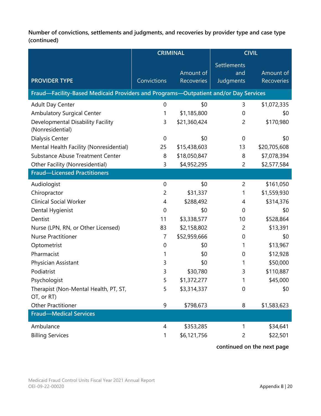**Number of convictions, settlements and judgments, and recoveries by provider type and case type (continued)**

|                                                                                     | <b>CRIMINAL</b> |                                | <b>CIVIL</b>                           |                                |
|-------------------------------------------------------------------------------------|-----------------|--------------------------------|----------------------------------------|--------------------------------|
| <b>PROVIDER TYPE</b>                                                                | Convictions     | Amount of<br><b>Recoveries</b> | <b>Settlements</b><br>and<br>Judgments | Amount of<br><b>Recoveries</b> |
| Fraud-Facility-Based Medicaid Providers and Programs-Outpatient and/or Day Services |                 |                                |                                        |                                |
| <b>Adult Day Center</b>                                                             | 0               | \$0                            | 3                                      | \$1,072,335                    |
| <b>Ambulatory Surgical Center</b>                                                   |                 | \$1,185,800                    | 0                                      | \$0                            |
| Developmental Disability Facility<br>(Nonresidential)                               | 3               | \$21,360,424                   | $\overline{2}$                         | \$170,980                      |
| Dialysis Center                                                                     | $\mathbf 0$     | \$0                            | 0                                      | \$0                            |
| Mental Health Facility (Nonresidential)                                             | 25              | \$15,438,603                   | 13                                     | \$20,705,608                   |
| Substance Abuse Treatment Center                                                    | 8               | \$18,050,847                   | 8                                      | \$7,078,394                    |
| Other Facility (Nonresidential)                                                     | 3               | \$4,952,295                    | 2                                      | \$2,577,584                    |
| <b>Fraud-Licensed Practitioners</b>                                                 |                 |                                |                                        |                                |
| Audiologist                                                                         | $\mathbf 0$     | \$0                            | $\overline{c}$                         | \$161,050                      |
| Chiropractor                                                                        | $\overline{c}$  | \$31,337                       | 1                                      | \$1,559,930                    |
| <b>Clinical Social Worker</b>                                                       | 4               | \$288,492                      | 4                                      | \$314,376                      |
| Dental Hygienist                                                                    | $\mathbf 0$     | \$0                            | 0                                      | \$0                            |
| Dentist                                                                             | 11              | \$3,338,577                    | 10                                     | \$528,864                      |
| Nurse (LPN, RN, or Other Licensed)                                                  | 83              | \$2,158,802                    | 2                                      | \$13,391                       |
| <b>Nurse Practitioner</b>                                                           | 7               | \$52,959,666                   | 0                                      | \$0                            |
| Optometrist                                                                         | 0               | \$0                            | 1                                      | \$13,967                       |
| Pharmacist                                                                          | 1               | \$0                            | 0                                      | \$12,928                       |
| Physician Assistant                                                                 | 3               | \$0                            | 1                                      | \$50,000                       |
| Podiatrist                                                                          | 3               | \$30,780                       | 3                                      | \$110,887                      |
| Psychologist                                                                        | 5               | \$1,372,277                    | 1                                      | \$45,000                       |
| Therapist (Non-Mental Health, PT, ST,<br>OT, or RT)                                 | 5               | \$3,314,337                    | $\mathbf 0$                            | \$0                            |
| <b>Other Practitioner</b>                                                           | 9               | \$798,673                      | 8                                      | \$1,583,623                    |
| <b>Fraud-Medical Services</b>                                                       |                 |                                |                                        |                                |
| Ambulance                                                                           | $\overline{4}$  | \$353,285                      | 1                                      | \$34,641                       |
| <b>Billing Services</b>                                                             | 1               | \$6,121,756                    | 2                                      | \$22,501                       |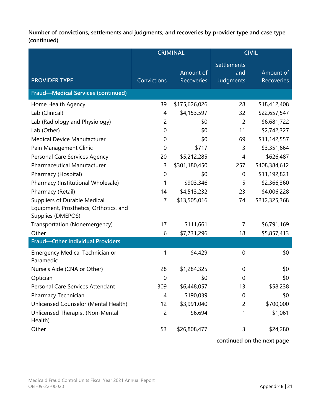**Number of convictions, settlements and judgments, and recoveries by provider type and case type (continued)**

|                                                             | <b>CRIMINAL</b> |                         | <b>CIVIL</b>                    |                                |
|-------------------------------------------------------------|-----------------|-------------------------|---------------------------------|--------------------------------|
| <b>PROVIDER TYPE</b>                                        | Convictions     | Amount of<br>Recoveries | Settlements<br>and<br>Judgments | Amount of<br><b>Recoveries</b> |
| <b>Fraud-Medical Services (continued)</b>                   |                 |                         |                                 |                                |
| Home Health Agency                                          | 39              | \$175,626,026           | 28                              | \$18,412,408                   |
| Lab (Clinical)                                              | 4               | \$4,153,597             | 32                              | \$22,657,547                   |
| Lab (Radiology and Physiology)                              | 2               | \$0                     | $\overline{c}$                  | \$6,681,722                    |
| Lab (Other)                                                 | 0               | \$0                     | 11                              | \$2,742,327                    |
| <b>Medical Device Manufacturer</b>                          | 0               | \$0                     | 69                              | \$11,142,557                   |
| Pain Management Clinic                                      | 0               | \$717                   | 3                               | \$3,351,664                    |
| Personal Care Services Agency                               | 20              | \$5,212,285             | 4                               | \$626,487                      |
| <b>Pharmaceutical Manufacturer</b>                          | 3               | \$301,180,450           | 257                             | \$408,384,612                  |
| Pharmacy (Hospital)                                         | $\mathbf 0$     | \$0                     | 0                               | \$11,192,821                   |
| Pharmacy (Institutional Wholesale)                          | 1               | \$903,346               | 5                               | \$2,366,360                    |
| Pharmacy (Retail)                                           | 14              | \$4,513,232             | 23                              | \$4,006,228                    |
| <b>Suppliers of Durable Medical</b>                         | $\overline{7}$  | \$13,505,016            | 74                              | \$212,325,368                  |
| Equipment, Prosthetics, Orthotics, and<br>Supplies (DMEPOS) |                 |                         |                                 |                                |
| Transportation (Nonemergency)                               | 17              | \$111,661               | 7                               | \$6,791,169                    |
| Other                                                       | 6               | \$7,731,296             | 18                              | \$5,857,413                    |
| <b>Fraud-Other Individual Providers</b>                     |                 |                         |                                 |                                |
| Emergency Medical Technician or<br>Paramedic                | 1               | \$4,429                 | 0                               | \$0                            |
| Nurse's Aide (CNA or Other)                                 | 28              | \$1,284,325             | 0                               | \$0                            |
| Optician                                                    | $\mathbf 0$     | \$0                     | 0                               | \$0                            |
| Personal Care Services Attendant                            | 309             | \$6,448,057             | 13                              | \$58,238                       |
| Pharmacy Technician                                         | 4               | \$190,039               | 0                               | \$0                            |
| Unlicensed Counselor (Mental Health)                        | 12              | \$3,991,040             | 2                               | \$700,000                      |
| Unlicensed Therapist (Non-Mental<br>Health)                 | $\overline{c}$  | \$6,694                 | 1                               | \$1,061                        |
| Other                                                       | 53              | \$26,808,477            | 3                               | \$24,280                       |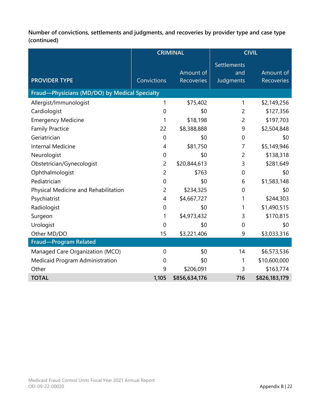**Number of convictions, settlements and judgments, and recoveries by provider type and case type (continued)**

|                                               |                | <b>CRIMINAL</b>                |                    | <b>CIVIL</b>                   |
|-----------------------------------------------|----------------|--------------------------------|--------------------|--------------------------------|
|                                               |                |                                | <b>Settlements</b> |                                |
| <b>PROVIDER TYPE</b>                          | Convictions    | Amount of<br><b>Recoveries</b> | and<br>Judgments   | Amount of<br><b>Recoveries</b> |
|                                               |                |                                |                    |                                |
| Fraud-Physicians (MD/DO) by Medical Specialty |                |                                |                    |                                |
| Allergist/Immunologist                        | 1              | \$75,402                       | 1                  | \$2,149,256                    |
| Cardiologist                                  | $\overline{0}$ | \$0                            | $\overline{c}$     | \$127,356                      |
| <b>Emergency Medicine</b>                     | 1              | \$18,198                       | $\overline{c}$     | \$197,703                      |
| <b>Family Practice</b>                        | 22             | \$8,388,888                    | 9                  | \$2,504,848                    |
| Geriatrician                                  | $\mathbf 0$    | \$0                            | 0                  | \$0                            |
| Internal Medicine                             | 4              | \$81,750                       | $\overline{7}$     | \$5,149,946                    |
| Neurologist                                   | $\mathbf 0$    | \$0                            | $\overline{c}$     | \$138,318                      |
| Obstetrician/Gynecologist                     | 2              | \$20,844,613                   | 3                  | \$281,649                      |
| Ophthalmologist                               | 2              | \$763                          | 0                  | \$0                            |
| Pediatrician                                  | 0              | \$0                            | 6                  | \$1,583,148                    |
| Physical Medicine and Rehabilitation          | 2              | \$234,325                      | 0                  | \$0                            |
| Psychiatrist                                  | 4              | \$4,667,727                    | 1                  | \$244,303                      |
| Radiologist                                   | $\mathbf 0$    | \$0                            | 1                  | \$1,490,515                    |
| Surgeon                                       | 1              | \$4,973,432                    | 3                  | \$170,815                      |
| Urologist                                     | 0              | \$0                            | 0                  | \$0                            |
| Other MD/DO                                   | 15             | \$3,221,406                    | 9                  | \$3,033,316                    |
| <b>Fraud-Program Related</b>                  |                |                                |                    |                                |
| Managed Care Organization (MCO)               | $\overline{0}$ | \$0                            | 14                 | \$6,573,536                    |
| Medicaid Program Administration               | 0              | \$0                            | 1                  | \$10,600,000                   |
| Other                                         | 9              | \$206,091                      | 3                  | \$163,774                      |
| <b>TOTAL</b>                                  | 1,105          | \$856,634,176                  | 716                | \$826,183,179                  |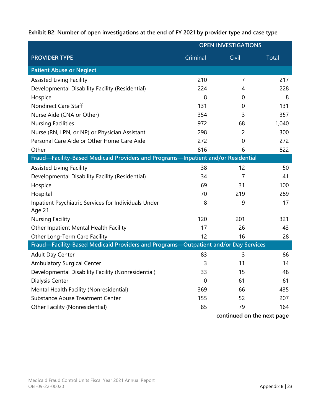**Exhibit B2: Number of open investigations at the end of FY 2021 by provider type and case type**

|                                                                                     | <b>OPEN INVESTIGATIONS</b> |                |       |
|-------------------------------------------------------------------------------------|----------------------------|----------------|-------|
| <b>PROVIDER TYPE</b>                                                                | Criminal                   | Civil          | Total |
| <b>Patient Abuse or Neglect</b>                                                     |                            |                |       |
| <b>Assisted Living Facility</b>                                                     | 210                        | $\overline{7}$ | 217   |
| Developmental Disability Facility (Residential)                                     | 224                        | 4              | 228   |
| Hospice                                                                             | 8                          | 0              | 8     |
| <b>Nondirect Care Staff</b>                                                         | 131                        | 0              | 131   |
| Nurse Aide (CNA or Other)                                                           | 354                        | 3              | 357   |
| <b>Nursing Facilities</b>                                                           | 972                        | 68             | 1,040 |
| Nurse (RN, LPN, or NP) or Physician Assistant                                       | 298                        | $\overline{2}$ | 300   |
| Personal Care Aide or Other Home Care Aide                                          | 272                        | $\overline{0}$ | 272   |
| Other                                                                               | 816                        | 6              | 822   |
| Fraud-Facility-Based Medicaid Providers and Programs-Inpatient and/or Residential   |                            |                |       |
| <b>Assisted Living Facility</b>                                                     | 38                         | 12             | 50    |
| Developmental Disability Facility (Residential)                                     | 34                         | 7              | 41    |
| Hospice                                                                             | 69                         | 31             | 100   |
| Hospital                                                                            | 70                         | 219            | 289   |
| Inpatient Psychiatric Services for Individuals Under<br>Age 21                      | 8                          | 9              | 17    |
| <b>Nursing Facility</b>                                                             | 120                        | 201            | 321   |
| Other Inpatient Mental Health Facility                                              | 17                         | 26             | 43    |
| Other Long-Term Care Facility                                                       | 12                         | 16             | 28    |
| Fraud-Facility-Based Medicaid Providers and Programs-Outpatient and/or Day Services |                            |                |       |
| <b>Adult Day Center</b>                                                             | 83                         | 3              | 86    |
| Ambulatory Surgical Center                                                          | 3                          | 11             | 14    |
| Developmental Disability Facility (Nonresidential)                                  | 33                         | 15             | 48    |
| Dialysis Center                                                                     | $\mathbf 0$                | 61             | 61    |
| Mental Health Facility (Nonresidential)                                             | 369                        | 66             | 435   |
| Substance Abuse Treatment Center                                                    | 155                        | 52             | 207   |
| Other Facility (Nonresidential)                                                     | 85                         | 79             | 164   |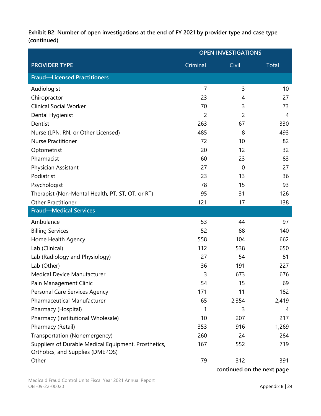**Exhibit B2: Number of open investigations at the end of FY 2021 by provider type and case type (continued)**

|                                                                                          | <b>OPEN INVESTIGATIONS</b> |             |       |
|------------------------------------------------------------------------------------------|----------------------------|-------------|-------|
| <b>PROVIDER TYPE</b>                                                                     | Criminal                   | Civil       | Total |
| <b>Fraud-Licensed Practitioners</b>                                                      |                            |             |       |
| Audiologist                                                                              | $\overline{7}$             | 3           | 10    |
| Chiropractor                                                                             | 23                         | 4           | 27    |
| <b>Clinical Social Worker</b>                                                            | 70                         | 3           | 73    |
| Dental Hygienist                                                                         | $\overline{c}$             | 2           | 4     |
| Dentist                                                                                  | 263                        | 67          | 330   |
| Nurse (LPN, RN, or Other Licensed)                                                       | 485                        | 8           | 493   |
| <b>Nurse Practitioner</b>                                                                | 72                         | 10          | 82    |
| Optometrist                                                                              | 20                         | 12          | 32    |
| Pharmacist                                                                               | 60                         | 23          | 83    |
| Physician Assistant                                                                      | 27                         | $\mathbf 0$ | 27    |
| Podiatrist                                                                               | 23                         | 13          | 36    |
| Psychologist                                                                             | 78                         | 15          | 93    |
| Therapist (Non-Mental Health, PT, ST, OT, or RT)                                         | 95                         | 31          | 126   |
| <b>Other Practitioner</b>                                                                | 121                        | 17          | 138   |
| <b>Fraud-Medical Services</b>                                                            |                            |             |       |
| Ambulance                                                                                | 53                         | 44          | 97    |
| <b>Billing Services</b>                                                                  | 52                         | 88          | 140   |
| Home Health Agency                                                                       | 558                        | 104         | 662   |
| Lab (Clinical)                                                                           | 112                        | 538         | 650   |
| Lab (Radiology and Physiology)                                                           | 27                         | 54          | 81    |
| Lab (Other)                                                                              | 36                         | 191         | 227   |
| <b>Medical Device Manufacturer</b>                                                       | 3                          | 673         | 676   |
| Pain Management Clinic                                                                   | 54                         | 15          | 69    |
| Personal Care Services Agency                                                            | 171                        | 11          | 182   |
| Pharmaceutical Manufacturer                                                              | 65                         | 2,354       | 2,419 |
| Pharmacy (Hospital)                                                                      | 1                          | 3           | 4     |
| Pharmacy (Institutional Wholesale)                                                       | 10                         | 207         | 217   |
| Pharmacy (Retail)                                                                        | 353                        | 916         | 1,269 |
| Transportation (Nonemergency)                                                            | 260                        | 24          | 284   |
| Suppliers of Durable Medical Equipment, Prosthetics,<br>Orthotics, and Supplies (DMEPOS) | 167                        | 552         | 719   |
| Other                                                                                    | 79                         | 312         | 391   |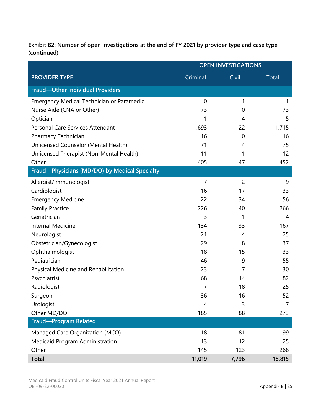#### **Exhibit B2: Number of open investigations at the end of FY 2021 by provider type and case type (continued)**

|                                               | <b>OPEN INVESTIGATIONS</b> |                |              |
|-----------------------------------------------|----------------------------|----------------|--------------|
| <b>PROVIDER TYPE</b>                          | Criminal                   | Civil          | <b>Total</b> |
| <b>Fraud-Other Individual Providers</b>       |                            |                |              |
| Emergency Medical Technician or Paramedic     | $\mathbf 0$                | 1              | 1            |
| Nurse Aide (CNA or Other)                     | 73                         | 0              | 73           |
| Optician                                      | 1                          | 4              | 5            |
| Personal Care Services Attendant              | 1,693                      | 22             | 1,715        |
| Pharmacy Technician                           | 16                         | 0              | 16           |
| Unlicensed Counselor (Mental Health)          | 71                         | 4              | 75           |
| Unlicensed Therapist (Non-Mental Health)      | 11                         | 1              | 12           |
| Other                                         | 405                        | 47             | 452          |
| Fraud-Physicians (MD/DO) by Medical Specialty |                            |                |              |
| Allergist/Immunologist                        | $\overline{7}$             | $\overline{2}$ | 9            |
| Cardiologist                                  | 16                         | 17             | 33           |
| <b>Emergency Medicine</b>                     | 22                         | 34             | 56           |
| <b>Family Practice</b>                        | 226                        | 40             | 266          |
| Geriatrician                                  | 3                          | 1              | 4            |
| <b>Internal Medicine</b>                      | 134                        | 33             | 167          |
| Neurologist                                   | 21                         | 4              | 25           |
| Obstetrician/Gynecologist                     | 29                         | 8              | 37           |
| Ophthalmologist                               | 18                         | 15             | 33           |
| Pediatrician                                  | 46                         | 9              | 55           |
| Physical Medicine and Rehabilitation          | 23                         | 7              | 30           |
| Psychiatrist                                  | 68                         | 14             | 82           |
| Radiologist                                   | 7                          | 18             | 25           |
| Surgeon                                       | 36                         | 16             | 52           |
| Urologist                                     | 4                          | 3              | 7            |
| Other MD/DO                                   | 185                        | 88             | 273          |
| <b>Fraud-Program Related</b>                  |                            |                |              |
| Managed Care Organization (MCO)               | 18                         | 81             | 99           |
| Medicaid Program Administration               | 13                         | 12             | 25           |
| Other                                         | 145                        | 123            | 268          |
| <b>Total</b>                                  | 11,019                     | 7,796          | 18,815       |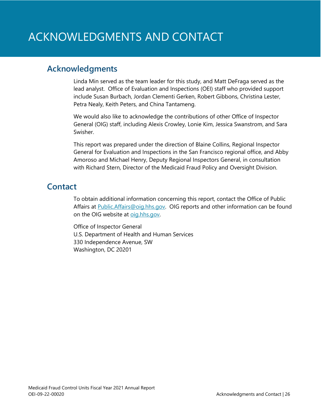## <span id="page-28-1"></span><span id="page-28-0"></span>**Acknowledgments**

Linda Min served as the team leader for this study, and Matt DeFraga served as the lead analyst. Office of Evaluation and Inspections (OEI) staff who provided support include Susan Burbach, Jordan Clementi Gerken, Robert Gibbons, Christina Lester, Petra Nealy, Keith Peters, and China Tantameng.

We would also like to acknowledge the contributions of other Office of Inspector General (OIG) staff, including Alexis Crowley, Lonie Kim, Jessica Swanstrom, and Sara Swisher.

This report was prepared under the direction of Blaine Collins, Regional Inspector General for Evaluation and Inspections in the San Francisco regional office, and Abby Amoroso and Michael Henry, Deputy Regional Inspectors General, in consultation with Richard Stern, Director of the Medicaid Fraud Policy and Oversight Division.

### <span id="page-28-2"></span>**Contact**

To obtain additional information concerning this report, contact the Office of Public Affairs at [Public.Affairs@oig.hhs.gov.](mailto:Public.Affairs@oig.hhs.gov) OIG reports and other information can be found on the OIG website at [oig.hhs.gov.](https://oig.hhs.gov/) 

Office of Inspector General U.S. Department of Health and Human Services 330 Independence Avenue, SW Washington, DC 20201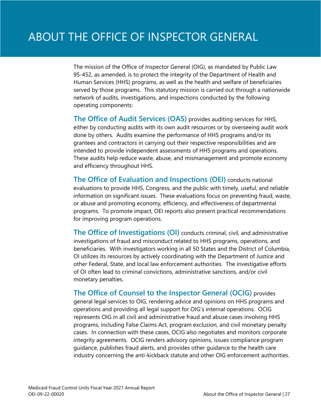<span id="page-29-0"></span>The mission of the Office of Inspector General (OIG), as mandated by Public Law 95-452, as amended, is to protect the integrity of the Department of Health and Human Services (HHS) programs, as well as the health and welfare of beneficiaries served by those programs. This statutory mission is carried out through a nationwide network of audits, investigations, and inspections conducted by the following operating components:

**The Office of Audit Services (OAS)** provides auditing services for HHS, either by conducting audits with its own audit resources or by overseeing audit work done by others. Audits examine the performance of HHS programs and/or its grantees and contractors in carrying out their respective responsibilities and are intended to provide independent assessments of HHS programs and operations. These audits help reduce waste, abuse, and mismanagement and promote economy and efficiency throughout HHS.

**The Office of Evaluation and Inspections (OEI)** conducts national evaluations to provide HHS, Congress, and the public with timely, useful, and reliable information on significant issues. These evaluations focus on preventing fraud, waste, or abuse and promoting economy, efficiency, and effectiveness of departmental programs. To promote impact, OEI reports also present practical recommendations for improving program operations.

**The Office of Investigations (OI)** conducts criminal, civil, and administrative investigations of fraud and misconduct related to HHS programs, operations, and beneficiaries. With investigators working in all 50 States and the District of Columbia, OI utilizes its resources by actively coordinating with the Department of Justice and other Federal, State, and local law enforcement authorities. The investigative efforts of OI often lead to criminal convictions, administrative sanctions, and/or civil monetary penalties.

**The Office of Counsel to the Inspector General (OCIG)** provides general legal services to OIG, rendering advice and opinions on HHS programs and operations and providing all legal support for OIG's internal operations. OCIG represents OIG in all civil and administrative fraud and abuse cases involving HHS programs, including False Claims Act, program exclusion, and civil monetary penalty cases. In connection with these cases, OCIG also negotiates and monitors corporate integrity agreements. OCIG renders advisory opinions, issues compliance program

guidance, publishes fraud alerts, and provides other guidance to the health care industry concerning the anti-kickback statute and other OIG enforcement authorities.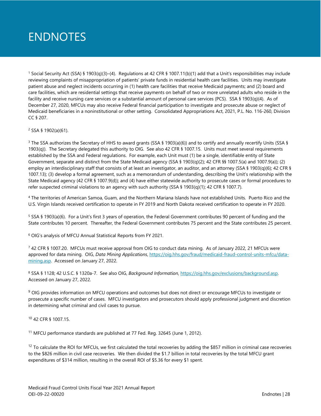## <span id="page-30-0"></span>ENDNOTES

<sup>1</sup> Social Security Act (SSA) § 1903(q)(3)–(4). Regulations at 42 CFR § 1007.11(b)(1) add that a Unit's responsibilities may include reviewing complaints of misappropriation of patients' private funds in residential health care facilities. Units may investigate patient abuse and neglect incidents occurring in (1) health care facilities that receive Medicaid payments; and (2) board and care facilities, which are residential settings that receive payments on behalf of two or more unrelated adults who reside in the facility and receive nursing care services or a substantial amount of personal care services (PCS). SSA § 1903(q)(4). As of December 27, 2020, MFCUs may also receive Federal financial participation to investigate and prosecute abuse or neglect of Medicaid beneficiaries in a noninstitutional or other setting. Consolidated Appropriations Act, 2021, P.L. No. 116-260, Division CC § 207.

<sup>2</sup> SSA § 1902(a)(61).

<sup>3</sup> The SSA authorizes the Secretary of HHS to award grants (SSA § 1903(a)(6)) and to certify and annually recertify Units (SSA § 1903(q)). The Secretary delegated this authority to OIG. See also 42 CFR § 1007.15. Units must meet several requirements established by the SSA and Federal regulations. For example, each Unit must (1) be a single, identifiable entity of State Government, separate and distinct from the State Medicaid agency (SSA § 1903(q)(2); 42 CFR §§ 1007.5(a) and 1007.9(a)); (2) employ an interdisciplinary staff that consists of at least an investigator, an auditor, and an attorney (SSA § 1903(q)(6); 42 CFR § 1007.13); (3) develop a formal agreement, such as a memorandum of understanding, describing the Unit's relationship with the State Medicaid agency (42 CFR § 1007.9(d)); and (4) have either statewide authority to prosecute cases or formal procedures to refer suspected criminal violations to an agency with such authority (SSA § 1903(q)(1); 42 CFR § 1007.7).

<sup>4</sup> The territories of American Samoa, Guam, and the Northern Mariana Islands have not established Units. Puerto Rico and the U.S. Virgin Islands received certification to operate in FY 2019 and North Dakota received certification to operate in FY 2020.

<sup>5</sup> SSA § 1903(a)(6). For a Unit's first 3 years of operation, the Federal Government contributes 90 percent of funding and the State contributes 10 percent. Thereafter, the Federal Government contributes 75 percent and the State contributes 25 percent.

<sup>6</sup> OIG's analysis of MFCU Annual Statistical Reports from FY 2021.

<sup>7</sup> 42 CFR § 1007.20. MFCUs must receive approval from OIG to conduct data mining. As of January 2022, 21 MFCUs were approved for data mining. OIG, *Data Mining Applications*, [https://oig.hhs.gov/fraud/medicaid-fraud-control-units-mfcu/data](https://oig.hhs.gov/fraud/medicaid-fraud-control-units-mfcu/data-mining.asp)[mining.asp.](https://oig.hhs.gov/fraud/medicaid-fraud-control-units-mfcu/data-mining.asp) Accessed on January 27, 2022.

<sup>8</sup> SSA § 1128; 42 U.S.C. § 1320a-7. See also OIG, *Background Information*, [https://oig.hhs.gov/exclusions/background.asp.](https://oig.hhs.gov/exclusions/background.asp)  Accessed on January 27, 2022.

<sup>9</sup> OIG provides information on MFCU operations and outcomes but does not direct or encourage MFCUs to investigate or prosecute a specific number of cases. MFCU investigators and prosecutors should apply professional judgment and discretion in determining what criminal and civil cases to pursue.

<sup>10</sup> 42 CFR § 1007.15.

<sup>11</sup> MFCU performance standards are published at 77 Fed. Reg. 32645 (June 1, 2012).

 $12$  To calculate the ROI for MFCUs, we first calculated the total recoveries by adding the \$857 million in criminal case recoveries to the \$826 million in civil case recoveries. We then divided the \$1.7 billion in total recoveries by the total MFCU grant expenditures of \$314 million, resulting in the overall ROI of \$5.36 for every \$1 spent.